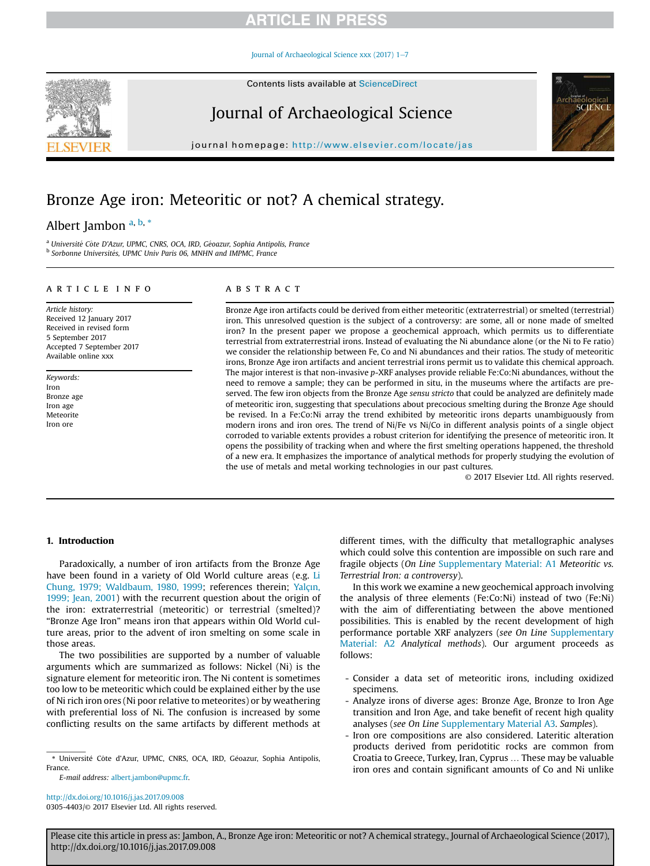Journal of Archaeological Science xxx (2017) 1-7

Contents lists available at ScienceDirect

# Journal of Archaeological Science

journal homepage: http://www.elsevier.com/locate/jas

# Bronze Age iron: Meteoritic or not? A chemical strategy.

# Albert Jambon a, b, \*

<sup>a</sup> *Universite Cote D* ^ '*Azur, UPMC, CNRS, OCA, IRD, Geoazur, Sophia Antipolis, France* b *Sorbonne Universites, UPMC Univ Paris 06, MNHN and IMPMC, France*

### article info

*Article history:* Received 12 January 2017 Received in revised form 5 September 2017 Accepted 7 September 2017 Available online xxx

*Keywords:* Iron Bronze age Iron age Meteorite Iron ore

## ABSTRACT

Bronze Age iron artifacts could be derived from either meteoritic (extraterrestrial) or smelted (terrestrial) iron. This unresolved question is the subject of a controversy: are some, all or none made of smelted iron? In the present paper we propose a geochemical approach, which permits us to differentiate terrestrial from extraterrestrial irons. Instead of evaluating the Ni abundance alone (or the Ni to Fe ratio) we consider the relationship between Fe, Co and Ni abundances and their ratios. The study of meteoritic irons, Bronze Age iron artifacts and ancient terrestrial irons permit us to validate this chemical approach. The major interest is that non-invasive *p*-XRF analyses provide reliable Fe:Co:Ni abundances, without the need to remove a sample; they can be performed in situ, in the museums where the artifacts are preserved. The few iron objects from the Bronze Age *sensu stricto* that could be analyzed are definitely made of meteoritic iron, suggesting that speculations about precocious smelting during the Bronze Age should be revised. In a Fe:Co:Ni array the trend exhibited by meteoritic irons departs unambiguously from modern irons and iron ores. The trend of Ni/Fe vs Ni/Co in different analysis points of a single object corroded to variable extents provides a robust criterion for identifying the presence of meteoritic iron. It opens the possibility of tracking when and where the first smelting operations happened, the threshold of a new era. It emphasizes the importance of analytical methods for properly studying the evolution of the use of metals and metal working technologies in our past cultures.

© 2017 Elsevier Ltd. All rights reserved.

### 1. Introduction

Paradoxically, a number of iron artifacts from the Bronze Age have been found in a variety of Old World culture areas (e.g. Li Chung, 1979; Waldbaum, 1980, 1999; references therein; Yalçın, 1999; Jean, 2001) with the recurrent question about the origin of the iron: extraterrestrial (meteoritic) or terrestrial (smelted)? "Bronze Age Iron" means iron that appears within Old World culture areas, prior to the advent of iron smelting on some scale in those areas.

The two possibilities are supported by a number of valuable arguments which are summarized as follows: Nickel (Ni) is the signature element for meteoritic iron. The Ni content is sometimes too low to be meteoritic which could be explained either by the use of Ni rich iron ores (Ni poor relative to meteorites) or by weathering with preferential loss of Ni. The confusion is increased by some conflicting results on the same artifacts by different methods at

*E-mail address:* albert.jambon@upmc.fr.

http://dx.doi.org/10.1016/j.jas.2017.09.008 0305-4403/© 2017 Elsevier Ltd. All rights reserved. different times, with the difficulty that metallographic analyses which could solve this contention are impossible on such rare and fragile objects (*On Line* Supplementary Material: A1 *Meteoritic vs. Terrestrial Iron: a controversy*).

In this work we examine a new geochemical approach involving the analysis of three elements (Fe:Co:Ni) instead of two (Fe:Ni) with the aim of differentiating between the above mentioned possibilities. This is enabled by the recent development of high performance portable XRF analyzers (*see On Line* Supplementary Material: A2 *Analytical methods*). Our argument proceeds as follows:

- Consider a data set of meteoritic irons, including oxidized specimens.
- Analyze irons of diverse ages: Bronze Age, Bronze to Iron Age transition and Iron Age, and take benefit of recent high quality analyses (*see On Line* Supplementary Material A3*. Samples*).
- Iron ore compositions are also considered. Lateritic alteration products derived from peridotitic rocks are common from Croatia to Greece, Turkey, Iran, Cyprus … These may be valuable iron ores and contain significant amounts of Co and Ni unlike





<sup>\*</sup> Université Côte d'Azur, UPMC, CNRS, OCA, IRD, Géoazur, Sophia Antipolis, France.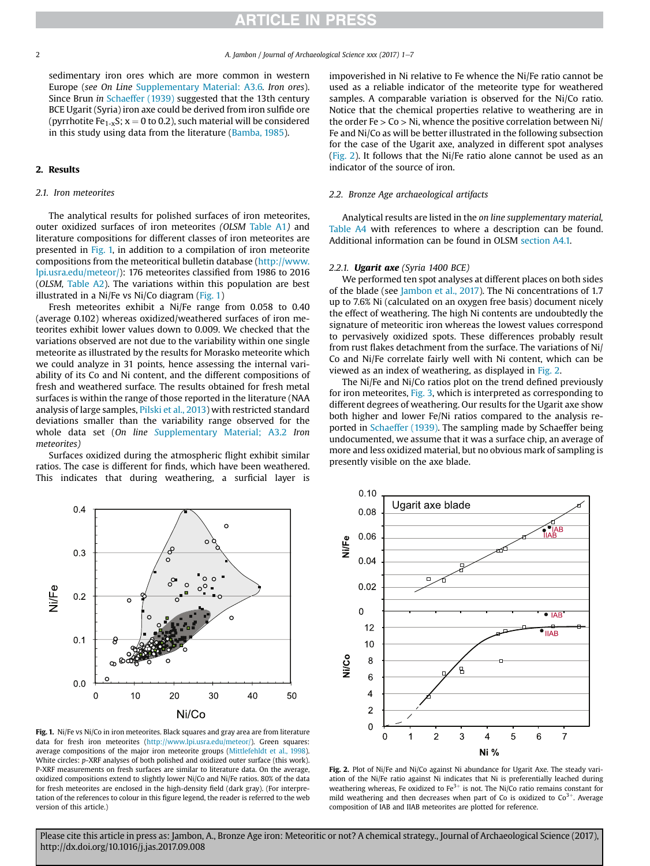sedimentary iron ores which are more common in western Europe (*see On Line* Supplementary Material: A3.6*. Iron ores*). Since Brun *in* Schaeffer (1939) suggested that the 13th century BCE Ugarit (Syria) iron axe could be derived from iron sulfide ore (pyrrhotite Fe<sub>1-x</sub>S;  $x = 0$  to 0.2), such material will be considered in this study using data from the literature (Bamba, 1985).

## 2. Results

#### *2.1. Iron meteorites*

The analytical results for polished surfaces of iron meteorites, outer oxidized surfaces of iron meteorites *(OLSM* Table A1*)* and literature compositions for different classes of iron meteorites are presented in Fig. 1, in addition to a compilation of iron meteorite compositions from the meteoritical bulletin database (http://www. lpi.usra.edu/meteor/): 176 meteorites classified from 1986 to 2016 (*OLSM,* Table A2). The variations within this population are best illustrated in a Ni/Fe vs Ni/Co diagram (Fig. 1)

Fresh meteorites exhibit a Ni/Fe range from 0.058 to 0.40 (average 0.102) whereas oxidized/weathered surfaces of iron meteorites exhibit lower values down to 0.009. We checked that the variations observed are not due to the variability within one single meteorite as illustrated by the results for Morasko meteorite which we could analyze in 31 points*,* hence assessing the internal variability of its Co and Ni content, and the different compositions of fresh and weathered surface*.* The results obtained for fresh metal surfaces is within the range of those reported in the literature (NAA analysis of large samples, Pilski et al., 2013) with restricted standard deviations smaller than the variability range observed for the whole data set (*On line S*upplementary Material; A3.2 *Iron meteorites)*

Surfaces oxidized during the atmospheric flight exhibit similar ratios. The case is different for finds, which have been weathered. This indicates that during weathering, a surficial layer is impoverished in Ni relative to Fe whence the Ni/Fe ratio cannot be used as a reliable indicator of the meteorite type for weathered samples. A comparable variation is observed for the Ni/Co ratio. Notice that the chemical properties relative to weathering are in the order  $Fe > Co > Ni$ , whence the positive correlation between Ni/ Fe and Ni/Co as will be better illustrated in the following subsection for the case of the Ugarit axe, analyzed in different spot analyses (Fig. 2). It follows that the Ni/Fe ratio alone cannot be used as an indicator of the source of iron.

#### *2.2. Bronze Age archaeological artifacts*

Analytical results are listed in the *on line supplementary material,* Table A4 with references to where a description can be found. Additional information can be found in OLSM section A4.1.

## *2.2.1.* Ugarit axe *(Syria 1400 BCE)*

We performed ten spot analyses at different places on both sides of the blade (see Jambon et al., 2017). The Ni concentrations of 1.7 up to 7.6% Ni (calculated on an oxygen free basis) document nicely the effect of weathering. The high Ni contents are undoubtedly the signature of meteoritic iron whereas the lowest values correspond to pervasively oxidized spots. These differences probably result from rust flakes detachment from the surface. The variations of Ni/ Co and Ni/Fe correlate fairly well with Ni content, which can be viewed as an index of weathering, as displayed in Fig. 2.

The Ni/Fe and Ni/Co ratios plot on the trend defined previously for iron meteorites, Fig. 3, which is interpreted as corresponding to different degrees of weathering. Our results for the Ugarit axe show both higher and lower Fe/Ni ratios compared to the analysis reported in Schaeffer (1939). The sampling made by Schaeffer being undocumented, we assume that it was a surface chip, an average of more and less oxidized material, but no obvious mark of sampling is presently visible on the axe blade.



Fig. 1. Ni/Fe vs Ni/Co in iron meteorites. Black squares and gray area are from literature data for fresh iron meteorites (http://www.lpi.usra.edu/meteor/). Green squares: average compositions of the major iron meteorite groups (Mittlefehldt et al., 1998). White circles: *p*-XRF analyses of both polished and oxidized outer surface (this work). P-XRF measurements on fresh surfaces are similar to literature data. On the average, oxidized compositions extend to slightly lower Ni/Co and Ni/Fe ratios. 80% of the data for fresh meteorites are enclosed in the high-density field (dark gray). (For interpretation of the references to colour in this figure legend, the reader is referred to the web version of this article.)



Fig. 2. Plot of Ni/Fe and Ni/Co against Ni abundance for Ugarit Axe. The steady variation of the Ni/Fe ratio against Ni indicates that Ni is preferentially leached during weathering whereas, Fe oxidized to  $Fe^{3+}$  is not. The Ni/Co ratio remains constant for mild weathering and then decreases when part of Co is oxidized to  $Co<sup>3+</sup>$ . Average composition of IAB and IIAB meteorites are plotted for reference.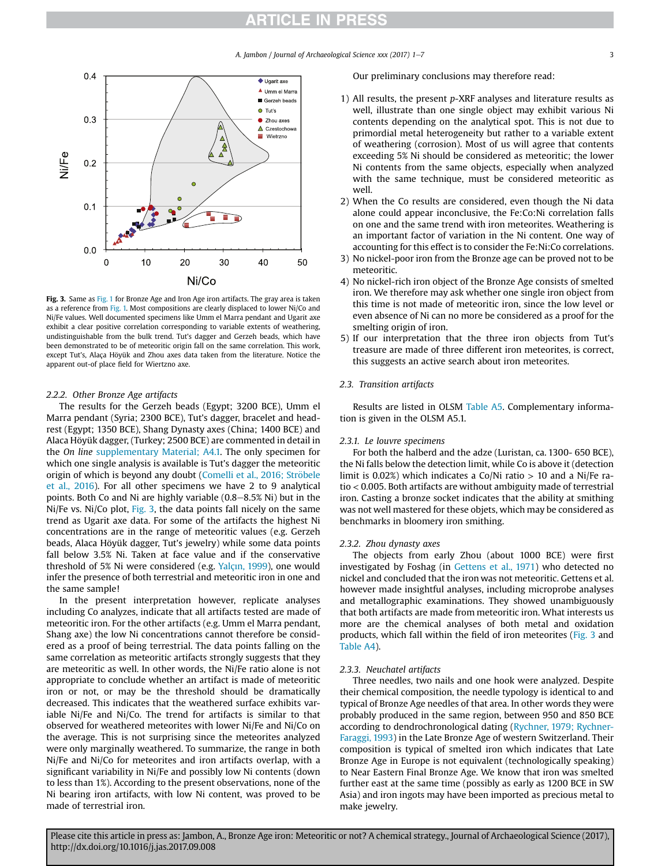*A. Jambon / Journal of Archaeological Science xxx (2017) 1-7* 3



Fig. 3. Same as Fig. 1 for Bronze Age and Iron Age iron artifacts. The gray area is taken as a reference from Fig. 1. Most compositions are clearly displaced to lower Ni/Co and Ni/Fe values. Well documented specimens like Umm el Marra pendant and Ugarit axe exhibit a clear positive correlation corresponding to variable extents of weathering, undistinguishable from the bulk trend. Tut's dagger and Gerzeh beads, which have been demonstrated to be of meteoritic origin fall on the same correlation. This work, except Tut's, Alaça Höyük and Zhou axes data taken from the literature. Notice the apparent out-of place field for Wiertzno axe.

#### *2.2.2. Other Bronze Age artifacts*

The results for the Gerzeh beads (Egypt; 3200 BCE), Umm el Marra pendant (Syria; 2300 BCE), Tut's dagger, bracelet and headrest (Egypt; 1350 BCE), Shang Dynasty axes (China; 1400 BCE) and Alaca Höyük dagger, (Turkey; 2500 BCE) are commented in detail in the *On line* supplementary Material; A4.1. The only specimen for which one single analysis is available is Tut's dagger the meteoritic origin of which is beyond any doubt (Comelli et al., 2016; Ströbele et al., 2016). For all other specimens we have 2 to 9 analytical points. Both Co and Ni are highly variable  $(0.8-8.5\%$  Ni) but in the Ni/Fe vs. Ni/Co plot, Fig. 3, the data points fall nicely on the same trend as Ugarit axe data. For some of the artifacts the highest Ni concentrations are in the range of meteoritic values (e.g. Gerzeh beads, Alaca Höyük dagger, Tut's jewelry) while some data points fall below 3.5% Ni. Taken at face value and if the conservative threshold of 5% Ni were considered (e.g. Yalçın, 1999), one would infer the presence of both terrestrial and meteoritic iron in one and the same sample!

In the present interpretation however, replicate analyses including Co analyzes, indicate that all artifacts tested are made of meteoritic iron. For the other artifacts (e.g. Umm el Marra pendant, Shang axe) the low Ni concentrations cannot therefore be considered as a proof of being terrestrial. The data points falling on the same correlation as meteoritic artifacts strongly suggests that they are meteoritic as well. In other words, the Ni/Fe ratio alone is not appropriate to conclude whether an artifact is made of meteoritic iron or not, or may be the threshold should be dramatically decreased. This indicates that the weathered surface exhibits variable Ni/Fe and Ni/Co. The trend for artifacts is similar to that observed for weathered meteorites with lower Ni/Fe and Ni/Co on the average. This is not surprising since the meteorites analyzed were only marginally weathered. To summarize, the range in both Ni/Fe and Ni/Co for meteorites and iron artifacts overlap, with a significant variability in Ni/Fe and possibly low Ni contents (down to less than 1%). According to the present observations, none of the Ni bearing iron artifacts, with low Ni content, was proved to be made of terrestrial iron.

Our preliminary conclusions may therefore read:

- 1) All results, the present *p*-XRF analyses and literature results as well, illustrate than one single object may exhibit various Ni contents depending on the analytical spot. This is not due to primordial metal heterogeneity but rather to a variable extent of weathering (corrosion). Most of us will agree that contents exceeding 5% Ni should be considered as meteoritic; the lower Ni contents from the same objects, especially when analyzed with the same technique, must be considered meteoritic as well.
- 2) When the Co results are considered, even though the Ni data alone could appear inconclusive, the Fe:Co:Ni correlation falls on one and the same trend with iron meteorites. Weathering is an important factor of variation in the Ni content. One way of accounting for this effect is to consider the Fe:Ni:Co correlations.
- 3) No nickel-poor iron from the Bronze age can be proved not to be meteoritic.
- 4) No nickel-rich iron object of the Bronze Age consists of smelted iron. We therefore may ask whether one single iron object from this time is not made of meteoritic iron, since the low level or even absence of Ni can no more be considered as a proof for the smelting origin of iron.
- 5) If our interpretation that the three iron objects from Tut's treasure are made of three different iron meteorites, is correct, this suggests an active search about iron meteorites.

## *2.3. Transition artifacts*

Results are listed in OLSM Table A5. Complementary information is given in the OLSM A5.1.

## *2.3.1. Le louvre specimens*

For both the halberd and the adze (Luristan, ca. 1300- 650 BCE), the Ni falls below the detection limit, while Co is above it (detection limit is 0.02%) which indicates a Co/Ni ratio  $> 10$  and a Ni/Fe ratio < 0.005. Both artifacts are without ambiguity made of terrestrial iron. Casting a bronze socket indicates that the ability at smithing was not well mastered for these objets, which may be considered as benchmarks in bloomery iron smithing.

#### *2.3.2. Zhou dynasty axes*

The objects from early Zhou (about 1000 BCE) were first investigated by Foshag (in Gettens et al., 1971) who detected no nickel and concluded that the iron was not meteoritic. Gettens et al. however made insightful analyses, including microprobe analyses and metallographic examinations. They showed unambiguously that both artifacts are made from meteoritic iron. What interests us more are the chemical analyses of both metal and oxidation products, which fall within the field of iron meteorites (Fig. 3 and Table A4).

#### *2.3.3. Neuchatel artifacts*

Three needles, two nails and one hook were analyzed. Despite their chemical composition, the needle typology is identical to and typical of Bronze Age needles of that area. In other words they were probably produced in the same region, between 950 and 850 BCE according to dendrochronological dating (Rychner, 1979; Rychner-Faraggi, 1993) in the Late Bronze Age of western Switzerland. Their composition is typical of smelted iron which indicates that Late Bronze Age in Europe is not equivalent (technologically speaking) to Near Eastern Final Bronze Age. We know that iron was smelted further east at the same time (possibly as early as 1200 BCE in SW Asia) and iron ingots may have been imported as precious metal to make jewelry.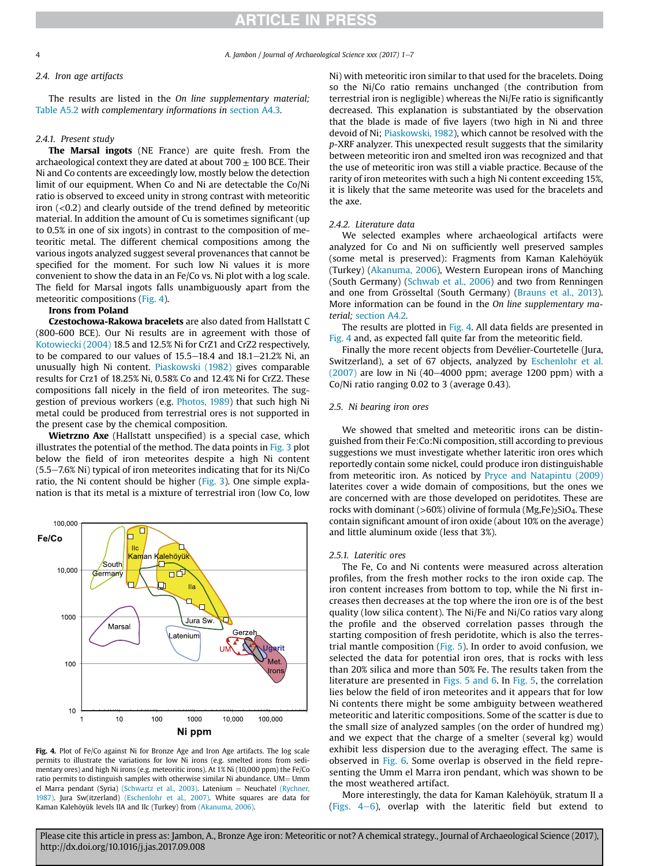4 *A. Jambon / Journal of Archaeological Science xxx (2017) 1*e*7*

## *2.4. Iron age artifacts*

The results are listed in the *On line supplementary material;* Table A5.2 *with complementary informations in* section A4.3*.*

## *2.4.1. Present study*

The Marsal ingots (NE France) are quite fresh. From the archaeological context they are dated at about  $700 \pm 100$  BCE. Their Ni and Co contents are exceedingly low, mostly below the detection limit of our equipment. When Co and Ni are detectable the Co/Ni ratio is observed to exceed unity in strong contrast with meteoritic iron  $( $0.2$ )$  and clearly outside of the trend defined by meteoritic material. In addition the amount of Cu is sometimes significant (up to 0.5% in one of six ingots) in contrast to the composition of meteoritic metal. The different chemical compositions among the various ingots analyzed suggest several provenances that cannot be specified for the moment. For such low Ni values it is more convenient to show the data in an Fe/Co vs. Ni plot with a log scale. The field for Marsal ingots falls unambiguously apart from the meteoritic compositions (Fig. 4).

## Irons from Poland

Czestochowa-Rakowa bracelets are also dated from Hallstatt C (800-600 BCE). Our Ni results are in agreement with those of Kotowiecki (2004) 18.5 and 12.5% Ni for CrZ1 and CrZ2 respectively, to be compared to our values of  $15.5-18.4$  and  $18.1-21.2%$  Ni, an unusually high Ni content. Piaskowski (1982) gives comparable results for Crz1 of 18.25% Ni, 0.58% Co and 12.4% Ni for CrZ2. These compositions fall nicely in the field of iron meteorites. The suggestion of previous workers (e.g. Photos, 1989) that such high Ni metal could be produced from terrestrial ores is not supported in the present case by the chemical composition.

Wietrzno Axe (Hallstatt unspecified) is a special case, which illustrates the potential of the method. The data points in Fig. 3 plot below the field of iron meteorites despite a high Ni content  $(5.5-7.6\%$  Ni) typical of iron meteorites indicating that for its Ni/Co ratio, the Ni content should be higher (Fig. 3). One simple explanation is that its metal is a mixture of terrestrial iron (low Co, low



Fig. 4. Plot of Fe/Co against Ni for Bronze Age and Iron Age artifacts. The log scale permits to illustrate the variations for low Ni irons (e.g. smelted irons from sedimentary ores) and high Ni irons (e.g. meteoritic irons). At 1% Ni (10,000 ppm) the Fe/Co ratio permits to distinguish samples with otherwise similar Ni abundance. UM= Umm el Marra pendant (Syria) (Schwartz et al., 2003). Latenium = Neuchatel (Rychner, 1987). Jura Sw(itzerland) (Eschenlohr et al., 2007). White squares are data for Kaman Kalehöyük levels IIA and IIc (Turkey) from (Akanuma, 2006).

Ni) with meteoritic iron similar to that used for the bracelets. Doing so the Ni/Co ratio remains unchanged (the contribution from terrestrial iron is negligible) whereas the Ni/Fe ratio is significantly decreased. This explanation is substantiated by the observation that the blade is made of five layers (two high in Ni and three devoid of Ni; Piaskowski, 1982), which cannot be resolved with the *p*-XRF analyzer. This unexpected result suggests that the similarity between meteoritic iron and smelted iron was recognized and that the use of meteoritic iron was still a viable practice. Because of the rarity of iron meteorites with such a high Ni content exceeding 15%, it is likely that the same meteorite was used for the bracelets and the axe.

### *2.4.2. Literature data*

We selected examples where archaeological artifacts were analyzed for Co and Ni on sufficiently well preserved samples (some metal is preserved): Fragments from Kaman Kalehöyük (Turkey) (Akanuma, 2006), Western European irons of Manching (South Germany) (Schwab et al., 2006) and two from Renningen and one from Grösseltal (South Germany) (Brauns et al., 2013). More information can be found in the *On line supplementary material;* section A4.2*.*

The results are plotted in Fig. 4. All data fields are presented in Fig. 4 and, as expected fall quite far from the meteoritic field.

Finally the more recent objects from Devélier-Courtetelle (Jura, Switzerland), a set of 67 objects, analyzed by Eschenlohr et al.  $(2007)$  are low in Ni  $(40-4000$  ppm; average 1200 ppm) with a Co/Ni ratio ranging 0.02 to 3 (average 0.43).

## *2.5. Ni bearing iron ores*

We showed that smelted and meteoritic irons can be distinguished from their Fe:Co:Ni composition, still according to previous suggestions we must investigate whether lateritic iron ores which reportedly contain some nickel, could produce iron distinguishable from meteoritic iron. As noticed by Pryce and Natapintu (2009) laterites cover a wide domain of compositions, but the ones we are concerned with are those developed on peridotites. These are rocks with dominant ( $>60\%$ ) olivine of formula (Mg,Fe)<sub>2</sub>SiO<sub>4</sub>. These contain significant amount of iron oxide (about 10% on the average) and little aluminum oxide (less that 3%).

#### *2.5.1. Lateritic ores*

The Fe, Co and Ni contents were measured across alteration profiles, from the fresh mother rocks to the iron oxide cap. The iron content increases from bottom to top, while the Ni first increases then decreases at the top where the iron ore is of the best quality (low silica content). The Ni/Fe and Ni/Co ratios vary along the profile and the observed correlation passes through the starting composition of fresh peridotite, which is also the terrestrial mantle composition (Fig. 5). In order to avoid confusion, we selected the data for potential iron ores, that is rocks with less than 20% silica and more than 50% Fe. The results taken from the literature are presented in Figs. 5 and 6. In Fig. 5, the correlation lies below the field of iron meteorites and it appears that for low Ni contents there might be some ambiguity between weathered meteoritic and lateritic compositions. Some of the scatter is due to the small size of analyzed samples (on the order of hundred mg) and we expect that the charge of a smelter (several kg) would exhibit less dispersion due to the averaging effect. The same is observed in Fig. 6. Some overlap is observed in the field representing the Umm el Marra iron pendant, which was shown to be the most weathered artifact.

More interestingly, the data for Kaman Kalehöyük, stratum II a (Figs.  $4-6$ ), overlap with the lateritic field but extend to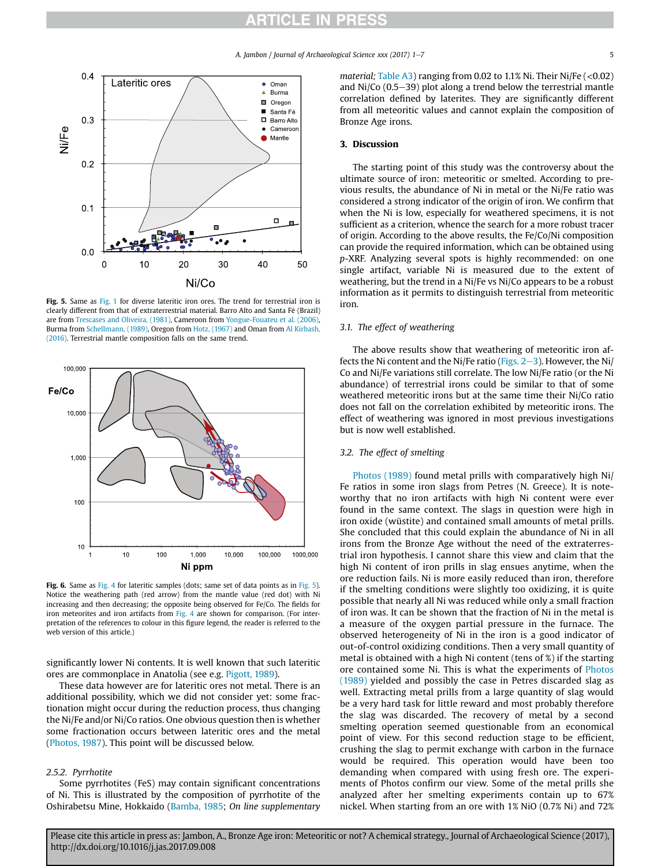*A. Jambon / Journal of Archaeological Science xxx (2017) 1-7* 5



Fig. 5. Same as Fig. 1 for diverse lateritic iron ores. The trend for terrestrial iron is clearly different from that of extraterrestrial material. Barro Alto and Santa Fé (Brazil) are from Trescases and Oliveira, (1981), Cameroon from Yongue-Fouateu et al. (2006), Burma from Schellmann, (1989), Oregon from Hotz, (1967) and Oman from Al Kirbash, (2016). Terrestrial mantle composition falls on the same trend.



Fig. 6. Same as Fig. 4 for lateritic samples (dots; same set of data points as in Fig. 5). Notice the weathering path (red arrow) from the mantle value (red dot) with Ni increasing and then decreasing; the opposite being observed for Fe/Co. The fields for iron meteorites and iron artifacts from Fig. 4 are shown for comparison. (For interpretation of the references to colour in this figure legend, the reader is referred to the web version of this article.)

significantly lower Ni contents. It is well known that such lateritic ores are commonplace in Anatolia (see e.g. Pigott, 1989).

These data however are for lateritic ores not metal. There is an additional possibility, which we did not consider yet: some fractionation might occur during the reduction process, thus changing the Ni/Fe and/or Ni/Co ratios. One obvious question then is whether some fractionation occurs between lateritic ores and the metal (Photos, 1987). This point will be discussed below.

## *2.5.2. Pyrrhotite*

Some pyrrhotites (FeS) may contain significant concentrations of Ni. This is illustrated by the composition of pyrrhotite of the Oshirabetsu Mine, Hokkaido (Bamba, 1985; *On line supplementary* *material;* Table A3) ranging from 0.02 to 1.1% Ni. Their Ni/Fe (<0.02) and  $Ni/Co$  (0.5–39) plot along a trend below the terrestrial mantle correlation defined by laterites. They are significantly different from all meteoritic values and cannot explain the composition of Bronze Age irons.

#### 3. Discussion

The starting point of this study was the controversy about the ultimate source of iron: meteoritic or smelted. According to previous results, the abundance of Ni in metal or the Ni/Fe ratio was considered a strong indicator of the origin of iron. We confirm that when the Ni is low, especially for weathered specimens, it is not sufficient as a criterion, whence the search for a more robust tracer of origin. According to the above results, the Fe/Co/Ni composition can provide the required information, which can be obtained using *p*-XRF. Analyzing several spots is highly recommended: on one single artifact, variable Ni is measured due to the extent of weathering, but the trend in a Ni/Fe vs Ni/Co appears to be a robust information as it permits to distinguish terrestrial from meteoritic iron.

## *3.1. The effect of weathering*

The above results show that weathering of meteoritic iron affects the Ni content and the Ni/Fe ratio (Figs.  $2-3$ ). However, the Ni/ Co and Ni/Fe variations still correlate. The low Ni/Fe ratio (or the Ni abundance) of terrestrial irons could be similar to that of some weathered meteoritic irons but at the same time their Ni/Co ratio does not fall on the correlation exhibited by meteoritic irons. The effect of weathering was ignored in most previous investigations but is now well established.

## *3.2. The effect of smelting*

Photos (1989) found metal prills with comparatively high Ni/ Fe ratios in some iron slags from Petres (N. Greece). It is noteworthy that no iron artifacts with high Ni content were ever found in the same context. The slags in question were high in iron oxide (wüstite) and contained small amounts of metal prills. She concluded that this could explain the abundance of Ni in all irons from the Bronze Age without the need of the extraterrestrial iron hypothesis. I cannot share this view and claim that the high Ni content of iron prills in slag ensues anytime, when the ore reduction fails. Ni is more easily reduced than iron, therefore if the smelting conditions were slightly too oxidizing, it is quite possible that nearly all Ni was reduced while only a small fraction of iron was. It can be shown that the fraction of Ni in the metal is a measure of the oxygen partial pressure in the furnace. The observed heterogeneity of Ni in the iron is a good indicator of out-of-control oxidizing conditions. Then a very small quantity of metal is obtained with a high Ni content (tens of %) if the starting ore contained some Ni. This is what the experiments of Photos (1989) yielded and possibly the case in Petres discarded slag as well. Extracting metal prills from a large quantity of slag would be a very hard task for little reward and most probably therefore the slag was discarded. The recovery of metal by a second smelting operation seemed questionable from an economical point of view. For this second reduction stage to be efficient, crushing the slag to permit exchange with carbon in the furnace would be required. This operation would have been too demanding when compared with using fresh ore. The experiments of Photos confirm our view. Some of the metal prills she analyzed after her smelting experiments contain up to 67% nickel. When starting from an ore with 1% NiO (0.7% Ni) and 72%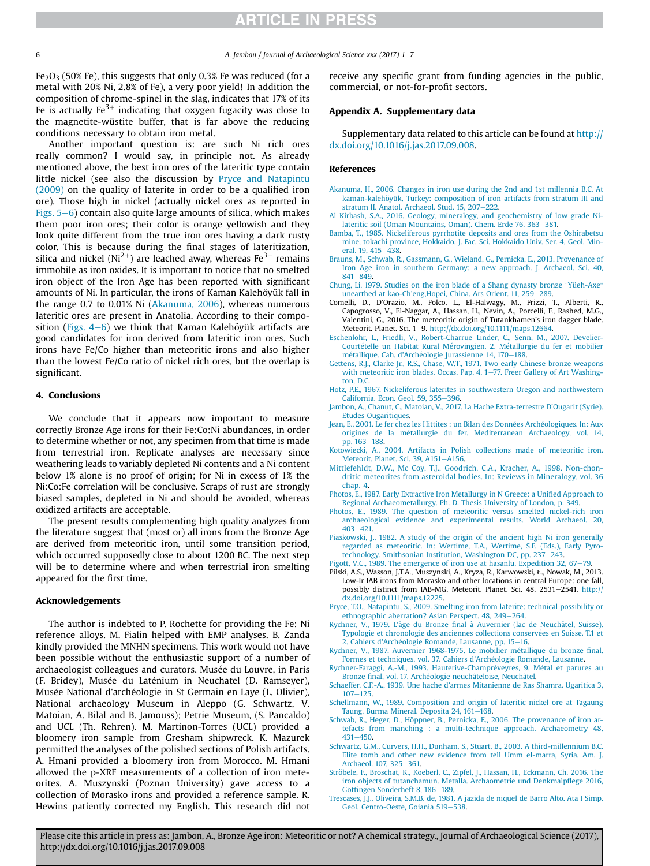Fe<sub>2</sub>O<sub>3</sub> (50% Fe), this suggests that only 0.3% Fe was reduced (for a metal with 20% Ni, 2.8% of Fe), a very poor yield! In addition the composition of chrome-spinel in the slag, indicates that 17% of its Fe is actually Fe $^{3+}$  indicating that oxygen fugacity was close to the magnetite-wüstite buffer, that is far above the reducing conditions necessary to obtain iron metal.

Another important question is: are such Ni rich ores really common? I would say, in principle not. As already mentioned above, the best iron ores of the lateritic type contain little nickel (see also the discussion by Pryce and Natapintu (2009) on the quality of laterite in order to be a qualified iron ore). Those high in nickel (actually nickel ores as reported in Figs.  $5-6$ ) contain also quite large amounts of silica, which makes them poor iron ores; their color is orange yellowish and they look quite different from the true iron ores having a dark rusty color. This is because during the final stages of lateritization, silica and nickel (Ni<sup>2+</sup>) are leached away, whereas Fe<sup>3+</sup> remains immobile as iron oxides. It is important to notice that no smelted iron object of the Iron Age has been reported with significant amounts of Ni. In particular, the irons of Kaman Kalehöyük fall in the range 0.7 to 0.01% Ni (Akanuma, 2006), whereas numerous lateritic ores are present in Anatolia. According to their composition (Figs.  $4-6$ ) we think that Kaman Kalehöyük artifacts are good candidates for iron derived from lateritic iron ores. Such irons have Fe/Co higher than meteoritic irons and also higher than the lowest Fe/Co ratio of nickel rich ores, but the overlap is significant.

#### 4. Conclusions

We conclude that it appears now important to measure correctly Bronze Age irons for their Fe:Co:Ni abundances, in order to determine whether or not, any specimen from that time is made from terrestrial iron. Replicate analyses are necessary since weathering leads to variably depleted Ni contents and a Ni content below 1% alone is no proof of origin; for Ni in excess of 1% the Ni:Co:Fe correlation will be conclusive. Scraps of rust are strongly biased samples, depleted in Ni and should be avoided, whereas oxidized artifacts are acceptable.

The present results complementing high quality analyzes from the literature suggest that (most or) all irons from the Bronze Age are derived from meteoritic iron, until some transition period, which occurred supposedly close to about 1200 BC. The next step will be to determine where and when terrestrial iron smelting appeared for the first time.

## Acknowledgements

The author is indebted to P. Rochette for providing the Fe: Ni reference alloys. M. Fialin helped with EMP analyses. B. Zanda kindly provided the MNHN specimens. This work would not have been possible without the enthusiastic support of a number of archaeologist colleagues and curators. Musée du Louvre, in Paris (F. Bridey), Musée du Laténium in Neuchatel (D. Ramseyer), Musée National d'archéologie in St Germain en Laye (L. Olivier), National archaeology Museum in Aleppo (G. Schwartz, V. Matoian, A. Bilal and B. Jamouss); Petrie Museum, (S. Pancaldo) and UCL (Th. Rehren). M. Martinon-Torres (UCL) provided a bloomery iron sample from Gresham shipwreck. K. Mazurek permitted the analyses of the polished sections of Polish artifacts. A. Hmani provided a bloomery iron from Morocco. M. Hmani allowed the p-XRF measurements of a collection of iron meteorites. A. Muszynski (Poznan University) gave access to a collection of Morasko irons and provided a reference sample. R. Hewins patiently corrected my English. This research did not receive any specific grant from funding agencies in the public, commercial, or not-for-profit sectors.

### Appendix A. Supplementary data

Supplementary data related to this article can be found at http:// dx.doi.org/10.1016/j.jas.2017.09.008.

#### References

- Akanuma, H., 2006. Changes in iron use during the 2nd and 1st millennia B.C. At kaman-kalehöyük, Turkey: composition of iron artifacts from stratum III and stratum II. Anatol. Archaeol. Stud. 15, 207-222.
- Al Kirbash, S.A., 2016. Geology, mineralogy, and geochemistry of low grade Nilateritic soil (Oman Mountains, Oman). Chem. Erde 76, 363-381.
- Bamba, T., 1985. Nickeliferous pyrrhotite deposits and ores from the Oshirabetsu mine, tokachi province, Hokkaido. J. Fac. Sci. Hokkaido Univ. Ser. 4, Geol. Mineral. 19, 415-438.
- Brauns, M., Schwab, R., Gassmann, G., Wieland, G., Pernicka, E., 2013. Provenance of Iron Age iron in southern Germany: a new approach. J. Archaeol. Sci. 40,  $841 - 849$
- Chung, Li, 1979. Studies on the iron blade of a Shang dynasty bronze "Yüeh-Axe" unearthed at kao-Ch'eng, Hopei, China. Ars Orient. 11, 259-289.
- Comelli, D., D'Orazio, M., Folco, L., El-Halwagy, M., Frizzi, T., Alberti, R., Capogrosso, V., El-Naggar, A., Hassan, H., Nevin, A., Porcelli, F., Rashed, M.G., Valentini, G., 2016. The meteoritic origin of Tutankhamen's iron dagger blade. Meteorit. Planet. Sci. 1-9. http://dx.doi.org/10.1111/maps.12664.
- Eschenlohr, L., Friedli, V., Robert-Charrue Linder, C., Senn, M., 2007. Develier-Courtételle un Habitat Rural Mérovingien. 2. Métallurgie du fer et mobilier métallique. Cah. d'Archéologie Jurassienne 14, 170-188.
- Gettens, R.J., Clarke Jr., R.S., Chase, W.T., 1971. Two early Chinese bronze weapons with meteoritic iron blades. Occas. Pap. 4, 1-77. Freer Gallery of Art Washington, D.C.
- Hotz, P.E., 1967. Nickeliferous laterites in southwestern Oregon and northwestern California. Econ. Geol. 59, 355-396.
- Jambon, A., Chanut, C., Matoian, V., 2017. La Hache Extra-terrestre D'Ougarit (Syrie). Etudes Ougaritiques.
- Jean, E., 2001. Le fer chez les Hittites : un Bilan des Données Archéologiques. In: Aux origines de la metallurgie du fer. Mediterranean Archaeology, vol. 14, pp. 163-188.
- Kotowiecki, A., 2004. Artifacts in Polish collections made of meteoritic iron. Meteorit. Planet. Sci. 39, A151-A156.
- Mittlefehldt, D.W., Mc Coy, T.J., Goodrich, C.A., Kracher, A., 1998. Non-chondritic meteorites from asteroidal bodies. In: Reviews in Mineralogy, vol. 36 chap. 4.
- Photos, E., 1987. Early Extractive Iron Metallurgy in N Greece: a Unified Approach to Regional Archaeometallurgy. Ph. D. Thesis University of London, p. 349.
- Photos, E., 1989. The question of meteoritic versus smelted nickel-rich iron archaeological evidence and experimental results. World Archaeol. 20,  $403 - 421$ .
- Piaskowski, J., 1982. A study of the origin of the ancient high Ni iron generally regarded as meteoritic. In: Wertime, T.A., Wertime, S.F. (Eds.), Early Pyrotechnology. Smithsonian Institution, Washington DC, pp. 237-243.
- Pigott, V.C., 1989. The emergence of iron use at hasanlu. Expedition 32,  $67-79$ .
- Pilski, A.S., Wasson, J.T.A., Muszynski, A., Kryza, R., Karwowski, Ł., Nowak, M., 2013. Low-Ir IAB irons from Morasko and other locations in central Europe: one fall, possibly distinct from IAB-MG. Meteorit. Planet. Sci. 48, 2531-2541. http:// dx.doi.org/10.1111/maps.12225.
- Pryce, T.O., Natapintu, S., 2009. Smelting iron from laterite: technical possibility or ethnographic aberration? Asian Perspect. 48, 249-264.
- Rychner, V., 1979. L'âge du Bronze final à Auvernier (lac de Neuchâtel, Suisse). Typologie et chronologie des anciennes collections conservées en Suisse. T.1 et 2. Cahiers d'Archéologie Romande, Lausanne, pp. 15-16.
- Rychner, V., 1987. Auvernier 1968-1975. Le mobilier metallique du bronze final. Formes et techniques, vol. 37. Cahiers d'Archéologie Romande, Lausanne.
- Rychner-Faraggi, A.-M., 1993. Hauterive-Champréveyres, 9. Métal et parures au Bronze final, vol. 17. Archéologie neuchâteloise, Neuchâtel.
- Schaeffer, C.F.-A., 1939. Une hache d'armes Mitanienne de Ras Shamra. Ugaritica 3,  $107 - 125$
- Schellmann, W., 1989. Composition and origin of lateritic nickel ore at Tagaung Taung, Burma Mineral. Deposita 24, 161-168.
- Schwab, R., Heger, D., Höppner, B., Pernicka, E., 2006. The provenance of iron artefacts from manching : a multi-technique approach. Archaeometry 48,  $431 - 450$
- Schwartz, G.M., Curvers, H.H., Dunham, S., Stuart, B., 2003. A third-millennium B.C. Elite tomb and other new evidence from tell Umm el-marra, Syria. Am. J. Archaeol. 107, 325-361.
- Ströbele, F., Broschat, K., Koeberl, C., Zipfel, J., Hassan, H., Eckmann, Ch, 2016. The iron objects of tutanchamun. Metalla. Archäometrie und Denkmalpflege 2016, Göttingen Sonderheft 8, 186-189.
- Trescases, J.J., Oliveira, S.M.B. de, 1981. A jazida de niquel de Barro Alto. Ata I Simp. Geol. Centro-Oeste, Goiania 519-538.